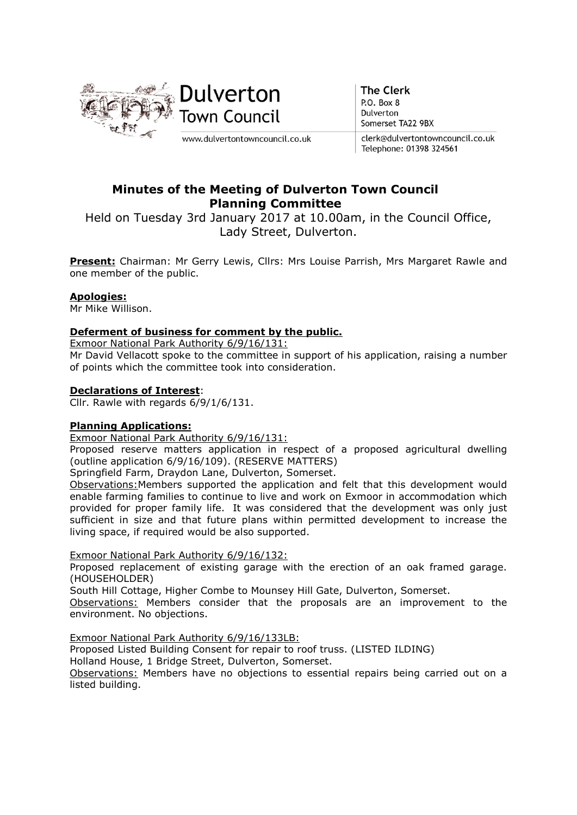

**The Clerk** P.O. Box 8 Dulverton Somerset TA22 9BX

clerk@dulvertontowncouncil.co.uk Telephone: 01398 324561

# Minutes of the Meeting of Dulverton Town Council Planning Committee

Held on Tuesday 3rd January 2017 at 10.00am, in the Council Office, Lady Street, Dulverton.

Present: Chairman: Mr Gerry Lewis, Cllrs: Mrs Louise Parrish, Mrs Margaret Rawle and one member of the public.

## Apologies:

Mr Mike Willison.

## Deferment of business for comment by the public.

Exmoor National Park Authority 6/9/16/131:

Mr David Vellacott spoke to the committee in support of his application, raising a number of points which the committee took into consideration.

#### Declarations of Interest:

Cllr. Rawle with regards 6/9/1/6/131.

## Planning Applications:

Exmoor National Park Authority 6/9/16/131:

Proposed reserve matters application in respect of a proposed agricultural dwelling (outline application 6/9/16/109). (RESERVE MATTERS)

Springfield Farm, Draydon Lane, Dulverton, Somerset.

Observations:Members supported the application and felt that this development would enable farming families to continue to live and work on Exmoor in accommodation which provided for proper family life. It was considered that the development was only just sufficient in size and that future plans within permitted development to increase the living space, if required would be also supported.

#### Exmoor National Park Authority 6/9/16/132:

Proposed replacement of existing garage with the erection of an oak framed garage. (HOUSEHOLDER)

South Hill Cottage, Higher Combe to Mounsey Hill Gate, Dulverton, Somerset.

Observations: Members consider that the proposals are an improvement to the environment. No objections.

Exmoor National Park Authority 6/9/16/133LB: Proposed Listed Building Consent for repair to roof truss. (LISTED ILDING)

Holland House, 1 Bridge Street, Dulverton, Somerset.

Observations: Members have no objections to essential repairs being carried out on a listed building.